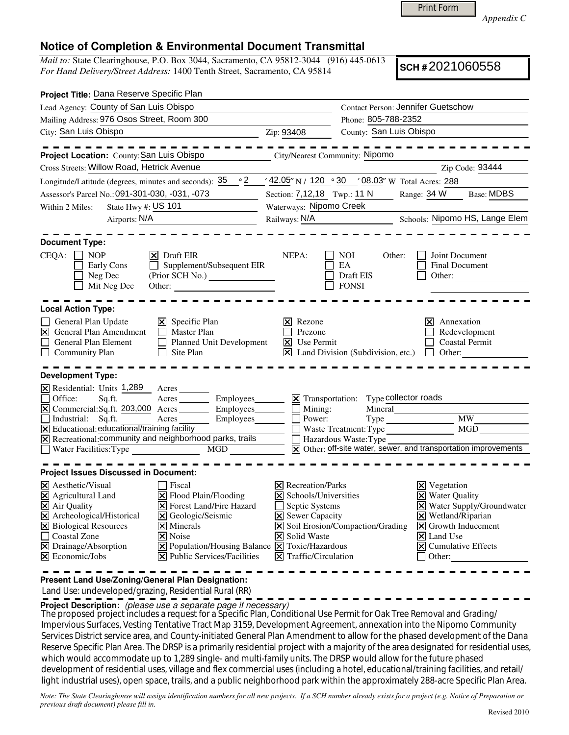Print Form

*Appendix C* 

## **Notice of Completion & Environmental Document Transmittal**

*Mail to:* State Clearinghouse, P.O. Box 3044, Sacramento, CA 95812-3044 (916) 445-0613 *For Hand Delivery/Street Address:* 1400 Tenth Street, Sacramento, CA 95814

**SCH #** 2021060558

| Project Title: Dana Reserve Specific Plan                                                                                                                                                                                                                                                                                                                                                                                                                                                         |                                                                   |                                                                                                                                                                                                                                                                                                                                                                                                                                                      |                                                                              |
|---------------------------------------------------------------------------------------------------------------------------------------------------------------------------------------------------------------------------------------------------------------------------------------------------------------------------------------------------------------------------------------------------------------------------------------------------------------------------------------------------|-------------------------------------------------------------------|------------------------------------------------------------------------------------------------------------------------------------------------------------------------------------------------------------------------------------------------------------------------------------------------------------------------------------------------------------------------------------------------------------------------------------------------------|------------------------------------------------------------------------------|
| Lead Agency: County of San Luis Obispo                                                                                                                                                                                                                                                                                                                                                                                                                                                            |                                                                   | <b>Contact Person: Jennifer Guetschow</b>                                                                                                                                                                                                                                                                                                                                                                                                            |                                                                              |
| Mailing Address: 976 Osos Street, Room 300                                                                                                                                                                                                                                                                                                                                                                                                                                                        |                                                                   | Phone: 805-788-2352                                                                                                                                                                                                                                                                                                                                                                                                                                  |                                                                              |
| City: San Luis Obispo                                                                                                                                                                                                                                                                                                                                                                                                                                                                             | Zip: 93408                                                        | County: San Luis Obispo                                                                                                                                                                                                                                                                                                                                                                                                                              |                                                                              |
| Project Location: County: San Luis Obispo                                                                                                                                                                                                                                                                                                                                                                                                                                                         |                                                                   | City/Nearest Community: Nipomo                                                                                                                                                                                                                                                                                                                                                                                                                       |                                                                              |
| Cross Streets: Willow Road, Hetrick Avenue                                                                                                                                                                                                                                                                                                                                                                                                                                                        |                                                                   |                                                                                                                                                                                                                                                                                                                                                                                                                                                      | Zip Code: 93444                                                              |
| Longitude/Latitude (degrees, minutes and seconds): $35^\circ$ ° 2                                                                                                                                                                                                                                                                                                                                                                                                                                 |                                                                   | / 42.05" N / 120 · 30 / 08.03" W Total Acres: 288                                                                                                                                                                                                                                                                                                                                                                                                    |                                                                              |
| Assessor's Parcel No.: 091-301-030, -031, -073                                                                                                                                                                                                                                                                                                                                                                                                                                                    | Section: 7,12,18 Twp.: 11 N                                       |                                                                                                                                                                                                                                                                                                                                                                                                                                                      | <b>Base: MDBS</b><br>Range: 34 W                                             |
| State Hwy #: $US$ 101<br>Within 2 Miles:                                                                                                                                                                                                                                                                                                                                                                                                                                                          | Waterways: Nipomo Creek                                           |                                                                                                                                                                                                                                                                                                                                                                                                                                                      |                                                                              |
| Airports: N/A                                                                                                                                                                                                                                                                                                                                                                                                                                                                                     | Railways: N/A                                                     |                                                                                                                                                                                                                                                                                                                                                                                                                                                      | Schools: Nipomo HS, Lange Elem                                               |
| <b>Document Type:</b><br>CEQA:<br>$\Box$ NOP<br>$\triangleright$ Draft EIR<br>Supplement/Subsequent EIR<br>Early Cons<br>$\mathbf{I}$<br>Neg Dec<br>Mit Neg Dec<br>Other:                                                                                                                                                                                                                                                                                                                         | NEPA:                                                             | <b>NOI</b><br>Other:<br>EA<br>Draft EIS<br><b>FONSI</b>                                                                                                                                                                                                                                                                                                                                                                                              | Joint Document<br><b>Final Document</b><br>Other:                            |
| <b>Local Action Type:</b>                                                                                                                                                                                                                                                                                                                                                                                                                                                                         |                                                                   |                                                                                                                                                                                                                                                                                                                                                                                                                                                      |                                                                              |
| General Plan Update<br>$\boxtimes$ Specific Plan<br>$\triangleright$ General Plan Amendment<br>П<br><b>Master Plan</b><br>General Plan Element<br>Planned Unit Development<br>Site Plan<br>Community Plan                                                                                                                                                                                                                                                                                         | $\vert \mathsf{x} \vert$ Rezone<br>Prezone<br><b>X</b> Use Permit | $\boxed{\mathsf{X}}$ Land Division (Subdivision, etc.)                                                                                                                                                                                                                                                                                                                                                                                               | Annexation<br>lxl<br>Redevelopment<br>Coastal Permit<br>Other:<br>$\perp$    |
| <b>Development Type:</b>                                                                                                                                                                                                                                                                                                                                                                                                                                                                          |                                                                   |                                                                                                                                                                                                                                                                                                                                                                                                                                                      |                                                                              |
| $\boxtimes$ Residential: Units 1,289<br>Acres<br>Employees_______<br>Office:<br>Sq.ft.<br>Acres<br>$\overline{X}$ Commercial: Sq.ft. $203,000$ Acres<br>Industrial: Sq.ft.<br>Acres<br>Employees<br>$\overline{X}$ Educational: educational/training facility<br>X Recreational: community and neighborhood parks, trails<br>$\Box$ Water Facilities: Type<br>MGD <b>MGD</b>                                                                                                                      | $\overline{\mathsf{x}}$ Transportation:<br>Mining:<br>Power:      | Type collector roads<br>Mineral<br>Type Type<br>Waste Treatment: Type<br>Hazardous Waste: Type                                                                                                                                                                                                                                                                                                                                                       | MW<br>MGD<br>X Other: off-site water, sewer, and transportation improvements |
| <b>Project Issues Discussed in Document:</b>                                                                                                                                                                                                                                                                                                                                                                                                                                                      |                                                                   |                                                                                                                                                                                                                                                                                                                                                                                                                                                      |                                                                              |
| $ \mathsf{X} $ Aesthetic/Visual<br>  Fiscal<br>$\boxtimes$ Agricultural Land<br>X Flood Plain/Flooding<br>$\overline{\mathsf{X}}$ Air Quality<br><b>X</b> Forest Land/Fire Hazard<br>X Archeological/Historical<br><b>X</b> Geologic/Seismic<br>X Biological Resources<br>$\times$ Minerals<br>Coastal Zone<br>$ \mathsf{X} $ Noise<br>$\boxtimes$ Drainage/Absorption<br>X Population/Housing Balance X Toxic/Hazardous<br>$\Xi$ Economic/Jobs<br>$ \mathbf{\times} $ Public Services/Facilities | X Solid Waste                                                     | $ \mathsf{X} $ Recreation/Parks<br>$\mathbf{X}$ Vegetation<br>$\times$ Schools/Universities<br>$\boxtimes$ Water Quality<br>X Water Supply/Groundwater<br>Septic Systems<br>$\times$ Wetland/Riparian<br><b>X</b> Sewer Capacity<br>X Soil Erosion/Compaction/Grading<br>$\vert\mathbf{X}\vert$ Growth Inducement<br>$\vert \mathsf{x} \vert$ Land Use<br>$\overline{\mathsf{X}}$ Cumulative Effects<br>$ \mathsf{X} $ Traffic/Circulation<br>Other: |                                                                              |

**Present Land Use/Zoning/General Plan Designation:**

Land Use: undeveloped/grazing, Residential Rural (RR)

**Project Description:** (please use a separate page if necessary)

 The proposed project includes a request for a Specific Plan, Conditional Use Permit for Oak Tree Removal and Grading/ Impervious Surfaces, Vesting Tentative Tract Map 3159, Development Agreement, annexation into the Nipomo Community Services District service area, and County-initiated General Plan Amendment to allow for the phased development of the Dana Reserve Specific Plan Area. The DRSP is a primarily residential project with a majority of the area designated for residential uses, which would accommodate up to 1,289 single- and multi-family units. The DRSP would allow for the future phased development of residential uses, village and flex commercial uses (including a hotel, educational/training facilities, and retail/ light industrial uses), open space, trails, and a public neighborhood park within the approximately 288-acre Specific Plan Area.

*Note: The State Clearinghouse will assign identification numbers for all new projects. If a SCH number already exists for a project (e.g. Notice of Preparation or previous draft document) please fill in.*